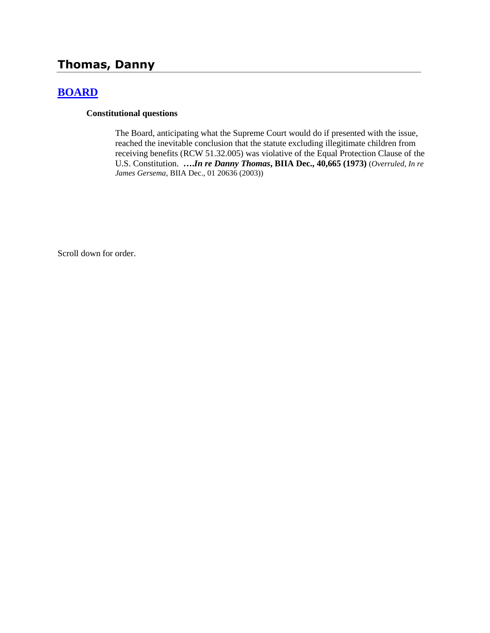# **Thomas, Danny**

## **[BOARD](http://www.biia.wa.gov/SDSubjectIndex.html#BOARD)**

#### **Constitutional questions**

The Board, anticipating what the Supreme Court would do if presented with the issue, reached the inevitable conclusion that the statute excluding illegitimate children from receiving benefits (RCW 51.32.005) was violative of the Equal Protection Clause of the U.S. Constitution. **….***In re Danny Thomas***, BIIA Dec., 40,665 (1973)** (*Overruled, In re James Gersema*, BIIA Dec., 01 20636 (2003))

Scroll down for order.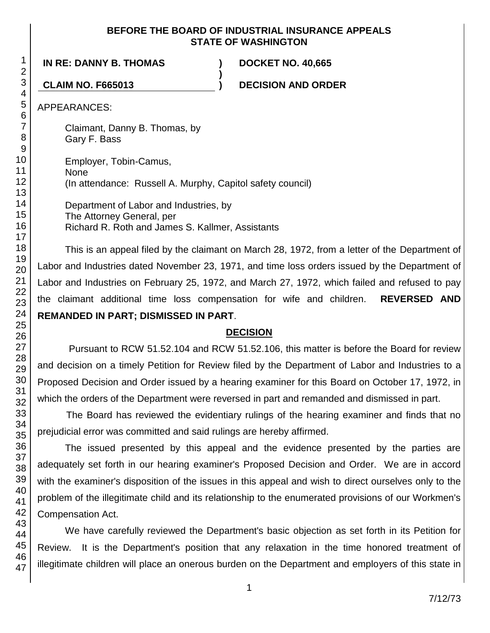### **BEFORE THE BOARD OF INDUSTRIAL INSURANCE APPEALS STATE OF WASHINGTON**

**)**

# **IN RE: DANNY B. THOMAS ) DOCKET NO. 40,665**

**CLAIM NO. F665013 ) DECISION AND ORDER**

APPEARANCES:

Claimant, Danny B. Thomas, by Gary F. Bass

Employer, Tobin-Camus, None (In attendance: Russell A. Murphy, Capitol safety council)

Department of Labor and Industries, by The Attorney General, per Richard R. Roth and James S. Kallmer, Assistants

This is an appeal filed by the claimant on March 28, 1972, from a letter of the Department of Labor and Industries dated November 23, 1971, and time loss orders issued by the Department of Labor and Industries on February 25, 1972, and March 27, 1972, which failed and refused to pay the claimant additional time loss compensation for wife and children. **REVERSED AND REMANDED IN PART; DISMISSED IN PART**.

## **DECISION**

Pursuant to RCW 51.52.104 and RCW 51.52.106, this matter is before the Board for review and decision on a timely Petition for Review filed by the Department of Labor and Industries to a Proposed Decision and Order issued by a hearing examiner for this Board on October 17, 1972, in which the orders of the Department were reversed in part and remanded and dismissed in part.

The Board has reviewed the evidentiary rulings of the hearing examiner and finds that no prejudicial error was committed and said rulings are hereby affirmed.

The issued presented by this appeal and the evidence presented by the parties are adequately set forth in our hearing examiner's Proposed Decision and Order. We are in accord with the examiner's disposition of the issues in this appeal and wish to direct ourselves only to the problem of the illegitimate child and its relationship to the enumerated provisions of our Workmen's Compensation Act.

We have carefully reviewed the Department's basic objection as set forth in its Petition for Review. It is the Department's position that any relaxation in the time honored treatment of illegitimate children will place an onerous burden on the Department and employers of this state in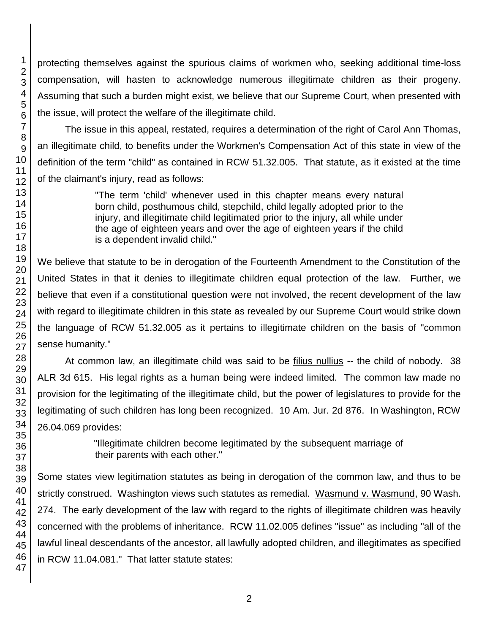protecting themselves against the spurious claims of workmen who, seeking additional time-loss compensation, will hasten to acknowledge numerous illegitimate children as their progeny. Assuming that such a burden might exist, we believe that our Supreme Court, when presented with the issue, will protect the welfare of the illegitimate child.

The issue in this appeal, restated, requires a determination of the right of Carol Ann Thomas, an illegitimate child, to benefits under the Workmen's Compensation Act of this state in view of the definition of the term "child" as contained in RCW 51.32.005. That statute, as it existed at the time of the claimant's injury, read as follows:

> "The term 'child' whenever used in this chapter means every natural born child, posthumous child, stepchild, child legally adopted prior to the injury, and illegitimate child legitimated prior to the injury, all while under the age of eighteen years and over the age of eighteen years if the child is a dependent invalid child."

We believe that statute to be in derogation of the Fourteenth Amendment to the Constitution of the United States in that it denies to illegitimate children equal protection of the law. Further, we believe that even if a constitutional question were not involved, the recent development of the law with regard to illegitimate children in this state as revealed by our Supreme Court would strike down the language of RCW 51.32.005 as it pertains to illegitimate children on the basis of "common sense humanity."

At common law, an illegitimate child was said to be filius nullius -- the child of nobody. 38 ALR 3d 615. His legal rights as a human being were indeed limited. The common law made no provision for the legitimating of the illegitimate child, but the power of legislatures to provide for the legitimating of such children has long been recognized. 10 Am. Jur. 2d 876. In Washington, RCW 26.04.069 provides:

> "Illegitimate children become legitimated by the subsequent marriage of their parents with each other."

Some states view legitimation statutes as being in derogation of the common law, and thus to be strictly construed. Washington views such statutes as remedial. Wasmund v. Wasmund, 90 Wash. 274. The early development of the law with regard to the rights of illegitimate children was heavily concerned with the problems of inheritance. RCW 11.02.005 defines "issue" as including "all of the lawful lineal descendants of the ancestor, all lawfully adopted children, and illegitimates as specified in RCW 11.04.081." That latter statute states: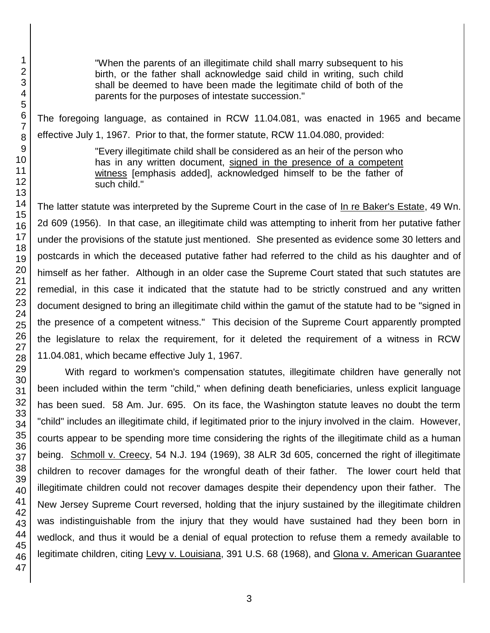"When the parents of an illegitimate child shall marry subsequent to his birth, or the father shall acknowledge said child in writing, such child shall be deemed to have been made the legitimate child of both of the parents for the purposes of intestate succession."

The foregoing language, as contained in RCW 11.04.081, was enacted in 1965 and became effective July 1, 1967. Prior to that, the former statute, RCW 11.04.080, provided:

> "Every illegitimate child shall be considered as an heir of the person who has in any written document, signed in the presence of a competent witness [emphasis added], acknowledged himself to be the father of such child."

The latter statute was interpreted by the Supreme Court in the case of In re Baker's Estate, 49 Wn. 2d 609 (1956). In that case, an illegitimate child was attempting to inherit from her putative father under the provisions of the statute just mentioned. She presented as evidence some 30 letters and postcards in which the deceased putative father had referred to the child as his daughter and of himself as her father. Although in an older case the Supreme Court stated that such statutes are remedial, in this case it indicated that the statute had to be strictly construed and any written document designed to bring an illegitimate child within the gamut of the statute had to be "signed in the presence of a competent witness." This decision of the Supreme Court apparently prompted the legislature to relax the requirement, for it deleted the requirement of a witness in RCW 11.04.081, which became effective July 1, 1967.

With regard to workmen's compensation statutes, illegitimate children have generally not been included within the term "child," when defining death beneficiaries, unless explicit language has been sued. 58 Am. Jur. 695. On its face, the Washington statute leaves no doubt the term "child" includes an illegitimate child, if legitimated prior to the injury involved in the claim. However, courts appear to be spending more time considering the rights of the illegitimate child as a human being. Schmoll v. Creecy, 54 N.J. 194 (1969), 38 ALR 3d 605, concerned the right of illegitimate children to recover damages for the wrongful death of their father. The lower court held that illegitimate children could not recover damages despite their dependency upon their father. The New Jersey Supreme Court reversed, holding that the injury sustained by the illegitimate children was indistinguishable from the injury that they would have sustained had they been born in wedlock, and thus it would be a denial of equal protection to refuse them a remedy available to legitimate children, citing Levy v. Louisiana, 391 U.S. 68 (1968), and Glona v. American Guarantee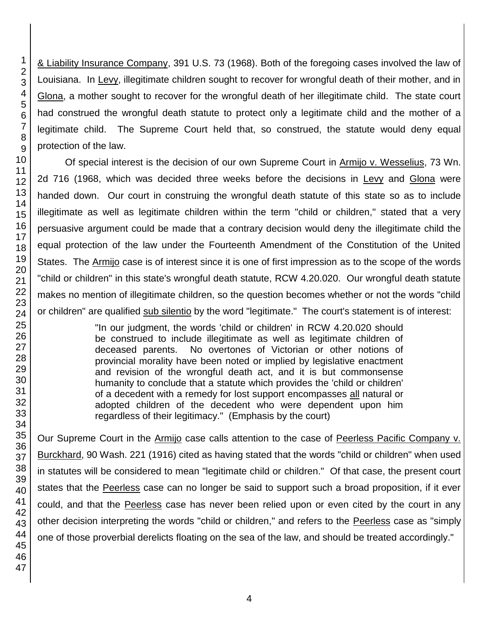& Liability Insurance Company, 391 U.S. 73 (1968). Both of the foregoing cases involved the law of Louisiana. In Levy, illegitimate children sought to recover for wrongful death of their mother, and in Glona, a mother sought to recover for the wrongful death of her illegitimate child. The state court had construed the wrongful death statute to protect only a legitimate child and the mother of a legitimate child. The Supreme Court held that, so construed, the statute would deny equal protection of the law.

Of special interest is the decision of our own Supreme Court in Armijo v. Wesselius, 73 Wn. 2d 716 (1968, which was decided three weeks before the decisions in Levy and Glona were handed down. Our court in construing the wrongful death statute of this state so as to include illegitimate as well as legitimate children within the term "child or children," stated that a very persuasive argument could be made that a contrary decision would deny the illegitimate child the equal protection of the law under the Fourteenth Amendment of the Constitution of the United States. The Armijo case is of interest since it is one of first impression as to the scope of the words "child or children" in this state's wrongful death statute, RCW 4.20.020. Our wrongful death statute makes no mention of illegitimate children, so the question becomes whether or not the words "child or children" are qualified sub silentio by the word "legitimate." The court's statement is of interest:

> "In our judgment, the words 'child or children' in RCW 4.20.020 should be construed to include illegitimate as well as legitimate children of deceased parents. No overtones of Victorian or other notions of provincial morality have been noted or implied by legislative enactment and revision of the wrongful death act, and it is but commonsense humanity to conclude that a statute which provides the 'child or children' of a decedent with a remedy for lost support encompasses all natural or adopted children of the decedent who were dependent upon him regardless of their legitimacy." (Emphasis by the court)

Our Supreme Court in the Armijo case calls attention to the case of Peerless Pacific Company v. Burckhard, 90 Wash. 221 (1916) cited as having stated that the words "child or children" when used in statutes will be considered to mean "legitimate child or children." Of that case, the present court states that the Peerless case can no longer be said to support such a broad proposition, if it ever could, and that the Peerless case has never been relied upon or even cited by the court in any other decision interpreting the words "child or children," and refers to the Peerless case as "simply one of those proverbial derelicts floating on the sea of the law, and should be treated accordingly."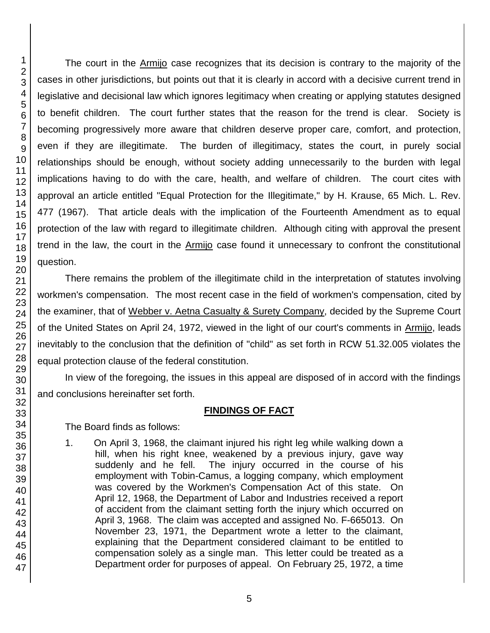The court in the Armijo case recognizes that its decision is contrary to the majority of the cases in other jurisdictions, but points out that it is clearly in accord with a decisive current trend in legislative and decisional law which ignores legitimacy when creating or applying statutes designed to benefit children. The court further states that the reason for the trend is clear. Society is becoming progressively more aware that children deserve proper care, comfort, and protection, even if they are illegitimate. The burden of illegitimacy, states the court, in purely social relationships should be enough, without society adding unnecessarily to the burden with legal implications having to do with the care, health, and welfare of children. The court cites with approval an article entitled "Equal Protection for the Illegitimate," by H. Krause, 65 Mich. L. Rev. 477 (1967). That article deals with the implication of the Fourteenth Amendment as to equal protection of the law with regard to illegitimate children. Although citing with approval the present trend in the law, the court in the Armijo case found it unnecessary to confront the constitutional question.

There remains the problem of the illegitimate child in the interpretation of statutes involving workmen's compensation. The most recent case in the field of workmen's compensation, cited by the examiner, that of Webber v. Aetna Casualty & Surety Company, decided by the Supreme Court of the United States on April 24, 1972, viewed in the light of our court's comments in Armijo, leads inevitably to the conclusion that the definition of "child" as set forth in RCW 51.32.005 violates the equal protection clause of the federal constitution.

In view of the foregoing, the issues in this appeal are disposed of in accord with the findings and conclusions hereinafter set forth.

#### **FINDINGS OF FACT**

The Board finds as follows:

1. On April 3, 1968, the claimant injured his right leg while walking down a hill, when his right knee, weakened by a previous injury, gave way suddenly and he fell. The injury occurred in the course of his employment with Tobin-Camus, a logging company, which employment was covered by the Workmen's Compensation Act of this state. On April 12, 1968, the Department of Labor and Industries received a report of accident from the claimant setting forth the injury which occurred on April 3, 1968. The claim was accepted and assigned No. F-665013. On November 23, 1971, the Department wrote a letter to the claimant, explaining that the Department considered claimant to be entitled to compensation solely as a single man. This letter could be treated as a Department order for purposes of appeal. On February 25, 1972, a time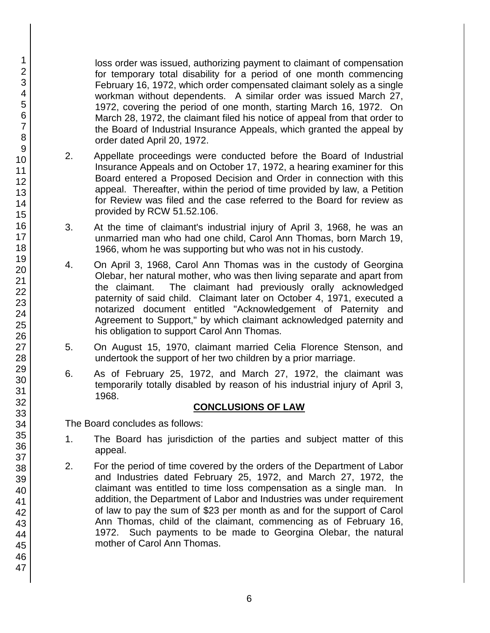loss order was issued, authorizing payment to claimant of compensation for temporary total disability for a period of one month commencing February 16, 1972, which order compensated claimant solely as a single workman without dependents. A similar order was issued March 27, 1972, covering the period of one month, starting March 16, 1972. On March 28, 1972, the claimant filed his notice of appeal from that order to the Board of Industrial Insurance Appeals, which granted the appeal by order dated April 20, 1972.

- 2. Appellate proceedings were conducted before the Board of Industrial Insurance Appeals and on October 17, 1972, a hearing examiner for this Board entered a Proposed Decision and Order in connection with this appeal. Thereafter, within the period of time provided by law, a Petition for Review was filed and the case referred to the Board for review as provided by RCW 51.52.106.
- 3. At the time of claimant's industrial injury of April 3, 1968, he was an unmarried man who had one child, Carol Ann Thomas, born March 19, 1966, whom he was supporting but who was not in his custody.
- 4. On April 3, 1968, Carol Ann Thomas was in the custody of Georgina Olebar, her natural mother, who was then living separate and apart from the claimant. The claimant had previously orally acknowledged paternity of said child. Claimant later on October 4, 1971, executed a notarized document entitled "Acknowledgement of Paternity and Agreement to Support," by which claimant acknowledged paternity and his obligation to support Carol Ann Thomas.
- 5. On August 15, 1970, claimant married Celia Florence Stenson, and undertook the support of her two children by a prior marriage.
- 6. As of February 25, 1972, and March 27, 1972, the claimant was temporarily totally disabled by reason of his industrial injury of April 3, 1968.

## **CONCLUSIONS OF LAW**

The Board concludes as follows:

- 1. The Board has jurisdiction of the parties and subject matter of this appeal.
- 2. For the period of time covered by the orders of the Department of Labor and Industries dated February 25, 1972, and March 27, 1972, the claimant was entitled to time loss compensation as a single man. In addition, the Department of Labor and Industries was under requirement of law to pay the sum of \$23 per month as and for the support of Carol Ann Thomas, child of the claimant, commencing as of February 16, 1972. Such payments to be made to Georgina Olebar, the natural mother of Carol Ann Thomas.